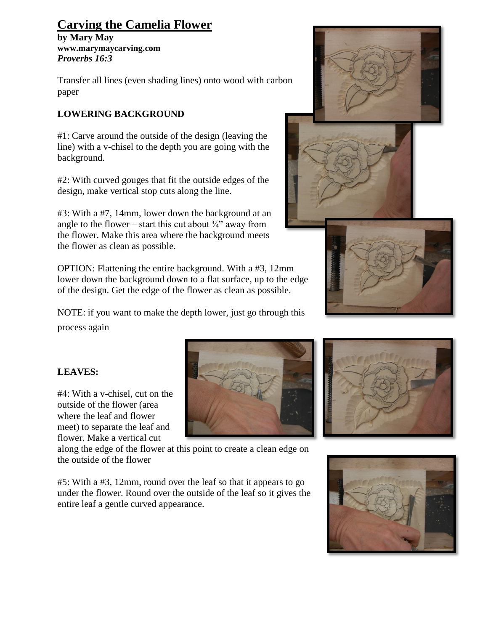## **Carving the Camelia Flower**

**by Mary May [www.marymaycarving.com](http://www.marymaycarving.com/)** *Proverbs 16:3*

Transfer all lines (even shading lines) onto wood with carbon paper

## **LOWERING BACKGROUND**

**LEAVES:**

#4: With a v-chisel, cut on the outside of the flower (area where the leaf and flower meet) to separate the leaf and

#1: Carve around the outside of the design (leaving the line) with a v-chisel to the depth you are going with the background.

#2: With curved gouges that fit the outside edges of the design, make vertical stop cuts along the line.

#3: With a #7, 14mm, lower down the background at an angle to the flower – start this cut about  $\frac{3}{4}$  away from the flower. Make this area where the background meets the flower as clean as possible.

OPTION: Flattening the entire background. With a #3, 12mm lower down the background down to a flat surface, up to the edge of the design. Get the edge of the flower as clean as possible.

NOTE: if you want to make the depth lower, just go through this process again



flower. Make a vertical cut along the edge of the flower at this point to create a clean edge on the outside of the flower

#5: With a #3, 12mm, round over the leaf so that it appears to go under the flower. Round over the outside of the leaf so it gives the entire leaf a gentle curved appearance.